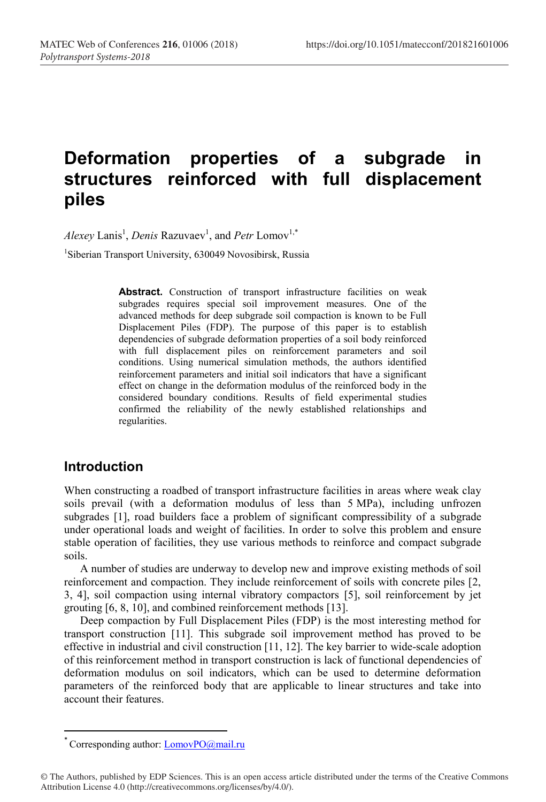# **Deformation properties of a subgrade in structures reinforced with full displacement piles**

*Alexey* Lanis<sup>1</sup>, *Denis* Razuvaev<sup>1</sup>, and *Petr* Lomov<sup>1,\*</sup>

1 Siberian Transport University, 630049 Novosibirsk, Russia

Abstract. Construction of transport infrastructure facilities on weak subgrades requires special soil improvement measures. One of the advanced methods for deep subgrade soil compaction is known to be Full Displacement Piles (FDP). The purpose of this paper is to establish dependencies of subgrade deformation properties of a soil body reinforced with full displacement piles on reinforcement parameters and soil conditions. Using numerical simulation methods, the authors identified reinforcement parameters and initial soil indicators that have a significant effect on change in the deformation modulus of the reinforced body in the considered boundary conditions. Results of field experimental studies confirmed the reliability of the newly established relationships and regularities.

# **Introduction**

When constructing a roadbed of transport infrastructure facilities in areas where weak clay soils prevail (with a deformation modulus of less than 5 MPa), including unfrozen subgrades [1], road builders face a problem of significant compressibility of a subgrade under operational loads and weight of facilities. In order to solve this problem and ensure stable operation of facilities, they use various methods to reinforce and compact subgrade soils.

A number of studies are underway to develop new and improve existing methods of soil reinforcement and compaction. They include reinforcement of soils with concrete piles [2, 3, 4], soil compaction using internal vibratory compactors [5], soil reinforcement by jet grouting [6, 8, 10], and combined reinforcement methods [13].

Deep compaction by Full Displacement Piles (FDP) is the most interesting method for transport construction [11]. This subgrade soil improvement method has proved to be effective in industrial and civil construction [11, 12]. The key barrier to wide-scale adoption of this reinforcement method in transport construction is lack of functional dependencies of deformation modulus on soil indicators, which can be used to determine deformation parameters of the reinforced body that are applicable to linear structures and take into account their features.

<sup>\*</sup> Corresponding author:  $LomovPO(\hat{a})$  mail.ru

<sup>©</sup> The Authors, published by EDP Sciences. This is an open access article distributed under the terms of the Creative Commons Attribution License 4.0 (http://creativecommons.org/licenses/by/4.0/).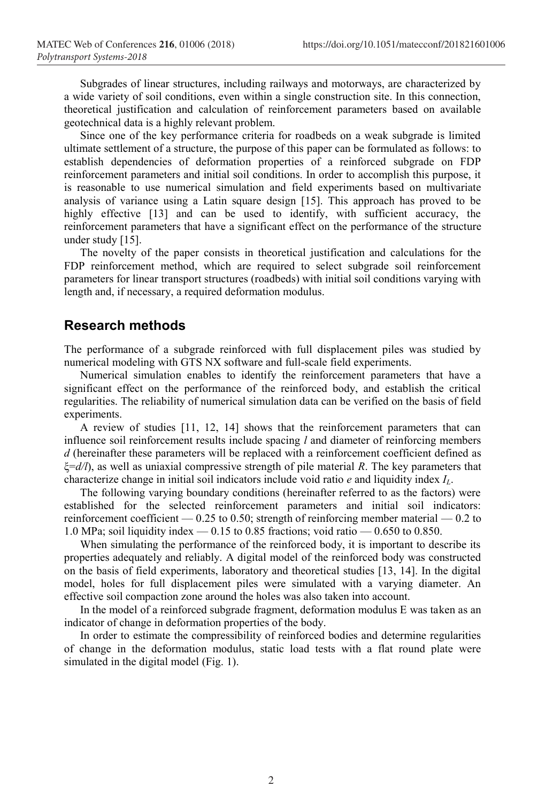Subgrades of linear structures, including railways and motorways, are characterized by a wide variety of soil conditions, even within a single construction site. In this connection, theoretical justification and calculation of reinforcement parameters based on available geotechnical data is a highly relevant problem.

Since one of the key performance criteria for roadbeds on a weak subgrade is limited ultimate settlement of a structure, the purpose of this paper can be formulated as follows: to establish dependencies of deformation properties of a reinforced subgrade on FDP reinforcement parameters and initial soil conditions. In order to accomplish this purpose, it is reasonable to use numerical simulation and field experiments based on multivariate analysis of variance using a Latin square design [15]. This approach has proved to be highly effective [13] and can be used to identify, with sufficient accuracy, the reinforcement parameters that have a significant effect on the performance of the structure under study [15].

The novelty of the paper consists in theoretical justification and calculations for the FDP reinforcement method, which are required to select subgrade soil reinforcement parameters for linear transport structures (roadbeds) with initial soil conditions varying with length and, if necessary, a required deformation modulus.

#### **Research methods**

The performance of a subgrade reinforced with full displacement piles was studied by numerical modeling with GTS NX software and full-scale field experiments.

Numerical simulation enables to identify the reinforcement parameters that have a significant effect on the performance of the reinforced body, and establish the critical regularities. The reliability of numerical simulation data can be verified on the basis of field experiments.

A review of studies [11, 12, 14] shows that the reinforcement parameters that can influence soil reinforcement results include spacing *l* and diameter of reinforcing members *d* (hereinafter these parameters will be replaced with a reinforcement coefficient defined as ξ=*d/l*), as well as uniaxial compressive strength of pile material *R*. The key parameters that characterize change in initial soil indicators include void ratio *e* and liquidity index *I<sub>L</sub>*.

The following varying boundary conditions (hereinafter referred to as the factors) were established for the selected reinforcement parameters and initial soil indicators: reinforcement coefficient — 0.25 to 0.50; strength of reinforcing member material — 0.2 to 1.0 MPa; soil liquidity index  $-$  0.15 to 0.85 fractions; void ratio  $-$  0.650 to 0.850.

When simulating the performance of the reinforced body, it is important to describe its properties adequately and reliably. A digital model of the reinforced body was constructed on the basis of field experiments, laboratory and theoretical studies [13, 14]. In the digital model, holes for full displacement piles were simulated with a varying diameter. An effective soil compaction zone around the holes was also taken into account.

In the model of a reinforced subgrade fragment, deformation modulus E was taken as an indicator of change in deformation properties of the body.

In order to estimate the compressibility of reinforced bodies and determine regularities of change in the deformation modulus, static load tests with a flat round plate were simulated in the digital model (Fig. 1).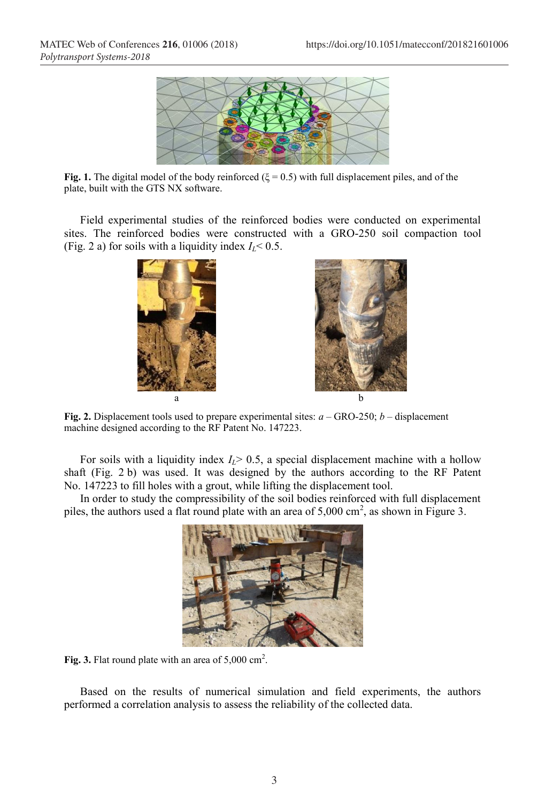

**Fig. 1.** The digital model of the body reinforced ( $\xi = 0.5$ ) with full displacement piles, and of the plate, built with the GTS NX software.

Field experimental studies of the reinforced bodies were conducted on experimental sites. The reinforced bodies were constructed with a GRO-250 soil compaction tool (Fig. 2 a) for soils with a liquidity index  $I_L$ < 0.5.





**Fig. 2.** Displacement tools used to prepare experimental sites: *a* – GRO-250; *b* – displacement machine designed according to the RF Patent No. 147223.

For soils with a liquidity index  $I<sub>L</sub>$  > 0.5, a special displacement machine with a hollow shaft (Fig. 2 b) was used. It was designed by the authors according to the RF Patent No. 147223 to fill holes with a grout, while lifting the displacement tool.

In order to study the compressibility of the soil bodies reinforced with full displacement piles, the authors used a flat round plate with an area of  $5,000 \text{ cm}^2$ , as shown in Figure 3.



Fig. 3. Flat round plate with an area of  $5,000 \text{ cm}^2$ .

Based on the results of numerical simulation and field experiments, the authors performed a correlation analysis to assess the reliability of the collected data.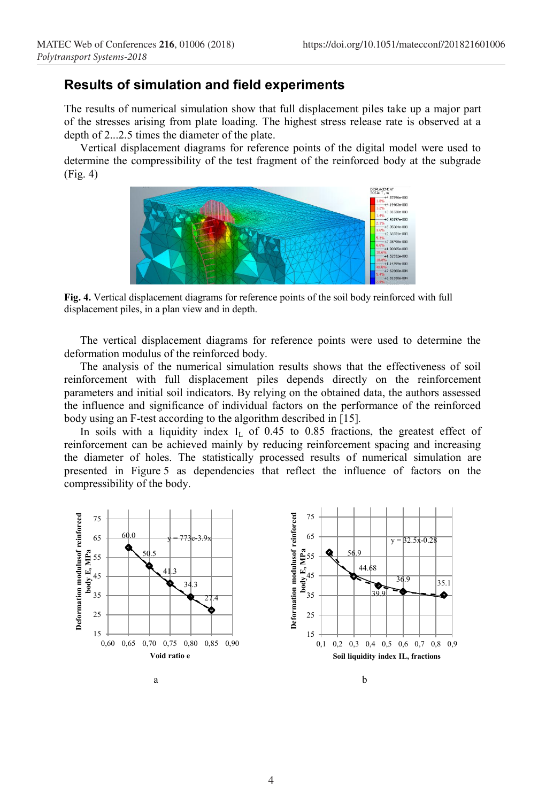### **Results of simulation and field experiments**

The results of numerical simulation show that full displacement piles take up a major part of the stresses arising from plate loading. The highest stress release rate is observed at a depth of 2...2.5 times the diameter of the plate.

Vertical displacement diagrams for reference points of the digital model were used to determine the compressibility of the test fragment of the reinforced body at the subgrade (Fig. 4)



**Fig. 4.** Vertical displacement diagrams for reference points of the soil body reinforced with full displacement piles, in a plan view and in depth.

The vertical displacement diagrams for reference points were used to determine the deformation modulus of the reinforced body.

The analysis of the numerical simulation results shows that the effectiveness of soil reinforcement with full displacement piles depends directly on the reinforcement parameters and initial soil indicators. By relying on the obtained data, the authors assessed the influence and significance of individual factors on the performance of the reinforced body using an F-test according to the algorithm described in [15]*.*

In soils with a liquidity index  $I_L$  of 0.45 to 0.85 fractions, the greatest effect of reinforcement can be achieved mainly by reducing reinforcement spacing and increasing the diameter of holes. The statistically processed results of numerical simulation are presented in Figure 5 as dependencies that reflect the influence of factors on the compressibility of the body.

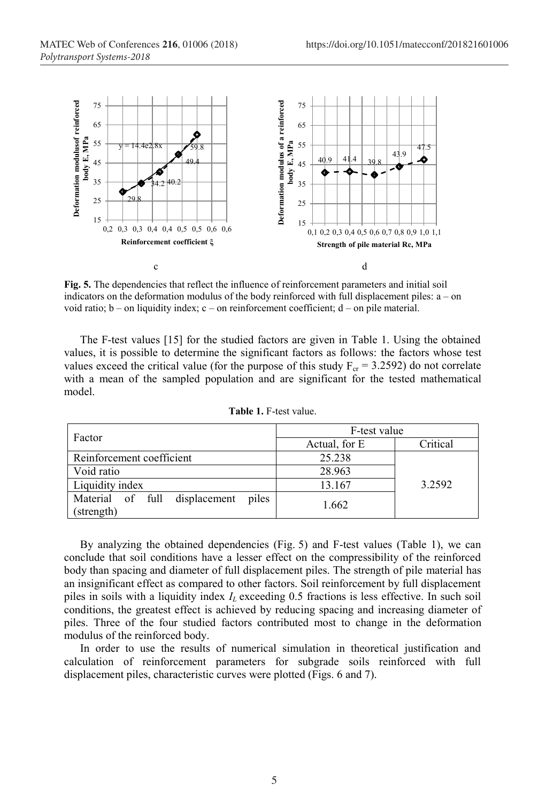

**Fig. 5.** The dependencies that reflect the influence of reinforcement parameters and initial soil indicators on the deformation modulus of the body reinforced with full displacement piles: a – on void ratio; b – on liquidity index; c – on reinforcement coefficient; d – on pile material.

The F-test values [15] for the studied factors are given in Table 1. Using the obtained values, it is possible to determine the significant factors as follows: the factors whose test values exceed the critical value (for the purpose of this study  $F_{cr}$  = 3.2592) do not correlate with a mean of the sampled population and are significant for the tested mathematical model.

| Factor                                               | F-test value  |          |
|------------------------------------------------------|---------------|----------|
|                                                      | Actual, for E | Critical |
| Reinforcement coefficient                            | 25.238        |          |
| Void ratio                                           | 28.963        |          |
| Liquidity index                                      | 13.167        | 3.2592   |
| Material of full displacement<br>piles<br>(strength) | 1.662         |          |

**Table 1.** F-test value.

By analyzing the obtained dependencies (Fig. 5) and F-test values (Table 1), we can conclude that soil conditions have a lesser effect on the compressibility of the reinforced body than spacing and diameter of full displacement piles. The strength of pile material has an insignificant effect as compared to other factors. Soil reinforcement by full displacement piles in soils with a liquidity index  $I_L$  exceeding 0.5 fractions is less effective. In such soil conditions, the greatest effect is achieved by reducing spacing and increasing diameter of piles. Three of the four studied factors contributed most to change in the deformation modulus of the reinforced body.

In order to use the results of numerical simulation in theoretical justification and calculation of reinforcement parameters for subgrade soils reinforced with full displacement piles, characteristic curves were plotted (Figs. 6 and 7).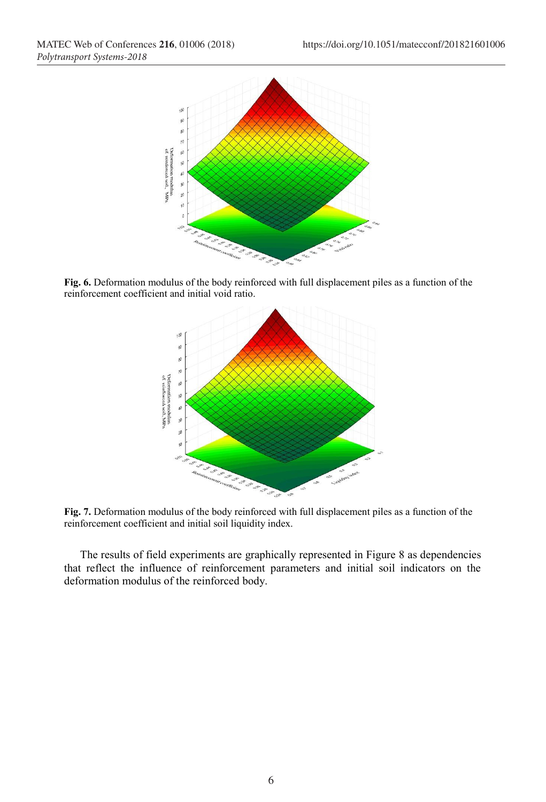

**Fig. 6.** Deformation modulus of the body reinforced with full displacement piles as a function of the reinforcement coefficient and initial void ratio.



**Fig. 7.** Deformation modulus of the body reinforced with full displacement piles as a function of the reinforcement coefficient and initial soil liquidity index.

The results of field experiments are graphically represented in Figure 8 as dependencies that reflect the influence of reinforcement parameters and initial soil indicators on the deformation modulus of the reinforced body.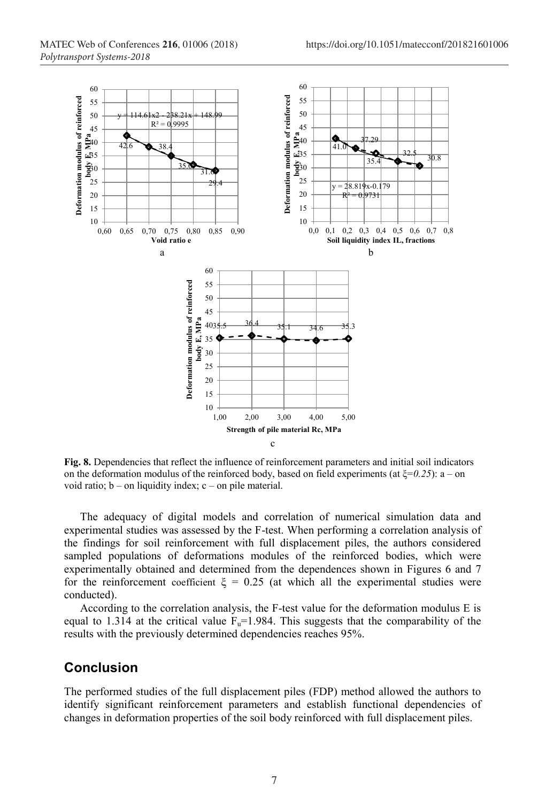

**Fig. 8.** Dependencies that reflect the influence of reinforcement parameters and initial soil indicators on the deformation modulus of the reinforced body, based on field experiments (at ξ=*0.25*): a – on void ratio;  $b - on$  liquidity index;  $c - on$  pile material.

The adequacy of digital models and correlation of numerical simulation data and experimental studies was assessed by the F-test. When performing a correlation analysis of the findings for soil reinforcement with full displacement piles, the authors considered sampled populations of deformations modules of the reinforced bodies, which were experimentally obtained and determined from the dependences shown in Figures 6 and 7 for the reinforcement coefficient  $\xi = 0.25$  (at which all the experimental studies were conducted).

According to the correlation analysis, the F-test value for the deformation modulus E is equal to 1.314 at the critical value  $F<sub>u</sub>=1.984$ . This suggests that the comparability of the results with the previously determined dependencies reaches 95%.

# **Conclusion**

The performed studies of the full displacement piles (FDP) method allowed the authors to identify significant reinforcement parameters and establish functional dependencies of changes in deformation properties of the soil body reinforced with full displacement piles.